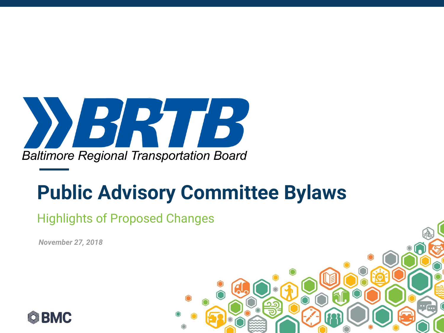

### **Public Advisory Committee Bylaws**

### Highlights of Proposed Changes

*DATE November 27, 2018* 



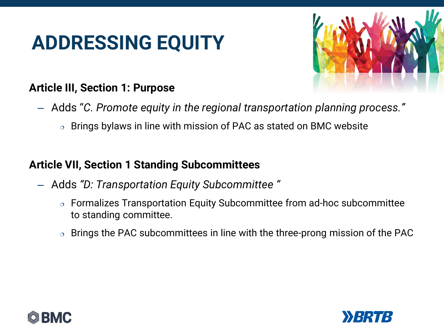## **ADDRESSING EQUITY**



### **Article III, Section 1: Purpose**

- Adds "*C. Promote equity in the regional transportation planning process."*
	- $\circ$  Brings bylaws in line with mission of PAC as stated on BMC website

### **Article VII, Section 1 Standing Subcommittees**

- Adds *"D: Transportation Equity Subcommittee "*
	- Formalizes Transportation Equity Subcommittee from ad-hoc subcommittee to standing committee.
	- $\circ$  Brings the PAC subcommittees in line with the three-prong mission of the PAC



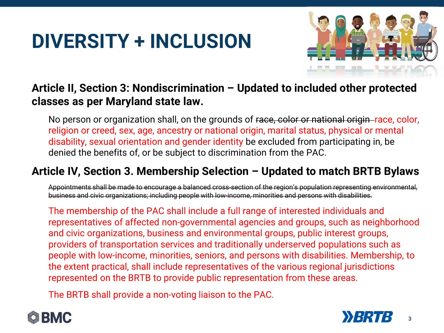# **DIVERSITY + INCLUSION**



### **Article II, Section 3: Nondiscrimination – Updated to included other protected classes as per Maryland state law.**

No person or organization shall, on the grounds of race, color or national origin–race, color, religion or creed, sex, age, ancestry or national origin, marital status, physical or mental disability, sexual orientation and gender identity be excluded from participating in, be denied the benefits of, or be subject to discrimination from the PAC.

### **Article IV, Section 3. Membership Selection – Updated to match BRTB Bylaws**

Appointments shall be made to encourage a balanced cross-section of the region's population representing environmental, business and civic organizations; including people with low-income, minorities and persons with disabilities.

The membership of the PAC shall include a full range of interested individuals and representatives of affected non-governmental agencies and groups, such as neighborhood and civic organizations, business and environmental groups, public interest groups, providers of transportation services and traditionally underserved populations such as people with low-income, minorities, seniors, and persons with disabilities. Membership, to the extent practical, shall include representatives of the various regional jurisdictions represented on the BRTB to provide public representation from these areas.

The BRTB shall provide a non-voting liaison to the PAC.



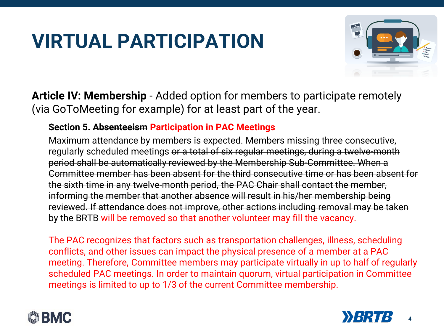# **VIRTUAL PARTICIPATION**



**Article IV: Membership** - Added option for members to participate remotely (via GoToMeeting for example) for at least part of the year.

#### **Section 5. Absenteeism Participation in PAC Meetings**

Maximum attendance by members is expected. Members missing three consecutive, regularly scheduled meetings or a total of six regular meetings, during a twelve-month period shall be automatically reviewed by the Membership Sub-Committee. When a Committee member has been absent for the third consecutive time or has been absent for the sixth time in any twelve-month period, the PAC Chair shall contact the member, informing the member that another absence will result in his/her membership being reviewed. If attendance does not improve, other actions including removal may be taken by the BRTB will be removed so that another volunteer may fill the vacancy.

The PAC recognizes that factors such as transportation challenges, illness, scheduling conflicts, and other issues can impact the physical presence of a member at a PAC meeting. Therefore, Committee members may participate virtually in up to half of regularly scheduled PAC meetings. In order to maintain quorum, virtual participation in Committee meetings is limited to up to 1/3 of the current Committee membership.



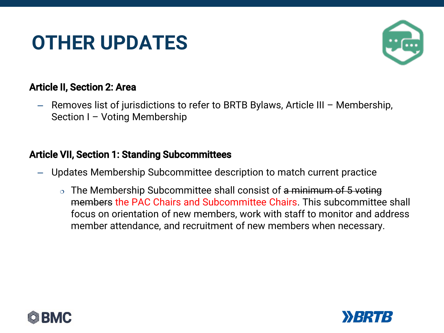## **OTHER UPDATES**



#### Article II, Section 2: Area

– Removes list of jurisdictions to refer to BRTB Bylaws, Article III – Membership, Section I – Voting Membership

#### Article VII, Section 1: Standing Subcommittees

- Updates Membership Subcommittee description to match current practice
	- $\circ$  The Membership Subcommittee shall consist of a minimum of 5 voting members the PAC Chairs and Subcommittee Chairs. This subcommittee shall focus on orientation of new members, work with staff to monitor and address member attendance, and recruitment of new members when necessary.